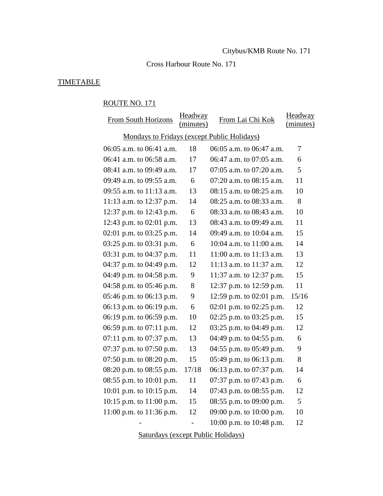# Cross Harbour Route No. 171

# **TIMETABLE**

#### ROUTE NO. 171

| <b>From South Horizons</b>                  | Headway<br>(minutes)     | From Lai Chi Kok             | Headway<br>(minutes)     |
|---------------------------------------------|--------------------------|------------------------------|--------------------------|
| Mondays to Fridays (except Public Holidays) |                          |                              |                          |
|                                             |                          |                              |                          |
| 06:05 a.m. to 06:41 a.m.                    | 18                       | 06:05 a.m. to 06:47 a.m.     | $\overline{\mathcal{L}}$ |
| 06:41 a.m. to 06:58 a.m.                    | 17                       | 06:47 a.m. to 07:05 a.m.     | 6                        |
| 08:41 a.m. to 09:49 a.m.                    | 17                       | 07:05 a.m. to 07:20 a.m.     | 5                        |
| 09:49 a.m. to 09:55 a.m.                    | 6                        | 07:20 a.m. to 08:15 a.m.     | 11                       |
| 09:55 a.m. to 11:13 a.m.                    | 13                       | 08:15 a.m. to 08:25 a.m.     | 10                       |
| 11:13 a.m. to 12:37 p.m.                    | 14                       | 08:25 a.m. to 08:33 a.m.     | 8                        |
| 12:37 p.m. to 12:43 p.m.                    | 6                        | 08:33 a.m. to 08:43 a.m.     | 10                       |
| 12:43 p.m. to $02:01$ p.m.                  | 13                       | 08:43 a.m. to 09:49 a.m.     | 11                       |
| 02:01 p.m. to 03:25 p.m.                    | 14                       | 09:49 a.m. to 10:04 a.m.     | 15                       |
| 03:25 p.m. to 03:31 p.m.                    | 6                        | 10:04 a.m. to 11:00 a.m.     | 14                       |
| 03:31 p.m. to 04:37 p.m.                    | 11                       | $11:00$ a.m. to $11:13$ a.m. | 13                       |
| 04:37 p.m. to 04:49 p.m.                    | 12                       | 11:13 a.m. to 11:37 a.m.     | 12                       |
| 04:49 p.m. to 04:58 p.m.                    | 9                        | 11:37 a.m. to 12:37 p.m.     | 15                       |
| 04:58 p.m. to $05:46$ p.m.                  | 8                        | 12:37 p.m. to 12:59 p.m.     | 11                       |
| 05:46 p.m. to 06:13 p.m.                    | 9                        | 12:59 p.m. to 02:01 p.m.     | 15/16                    |
| 06:13 p.m. to 06:19 p.m.                    | 6                        | 02:01 p.m. to 02:25 p.m.     | 12                       |
| 06:19 p.m. to 06:59 p.m.                    | 10                       | 02:25 p.m. to $03:25$ p.m.   | 15                       |
| 06:59 p.m. to 07:11 p.m.                    | 12                       | 03:25 p.m. to 04:49 p.m.     | 12                       |
| $07:11$ p.m. to $07:37$ p.m.                | 13                       | 04:49 p.m. to 04:55 p.m.     | 6                        |
| 07:37 p.m. to $07:50$ p.m.                  | 13                       | 04:55 p.m. to 05:49 p.m.     | 9                        |
| 07:50 p.m. to $08:20$ p.m.                  | 15                       | 05:49 p.m. to 06:13 p.m.     | 8                        |
| 08:20 p.m. to 08:55 p.m.                    | 17/18                    | 06:13 p.m. to 07:37 p.m.     | 14                       |
| 08:55 p.m. to 10:01 p.m.                    | 11                       | 07:37 p.m. to 07:43 p.m.     | 6                        |
| 10:01 p.m. to 10:15 p.m.                    | 14                       | 07:43 p.m. to 08:55 p.m.     | 12                       |
| 10:15 p.m. to 11:00 p.m.                    | 15                       | 08:55 p.m. to 09:00 p.m.     | 5                        |
| 11:00 p.m. to 11:36 p.m.                    | 12                       | 09:00 p.m. to 10:00 p.m.     | 10                       |
|                                             | $\overline{\phantom{0}}$ | 10:00 p.m. to 10:48 p.m.     | 12                       |

Saturdays (except Public Holidays)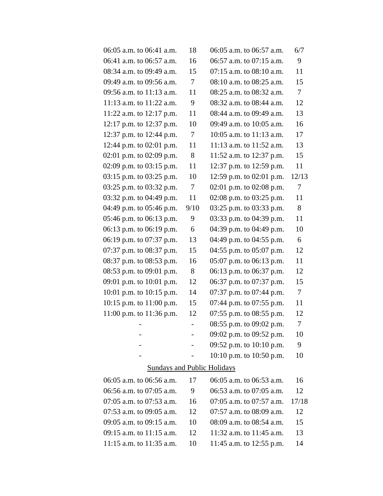| 06:05 a.m. to 06:41 a.m.           | 18     | 06:05 a.m. to 06:57 a.m.     | 6/7            |
|------------------------------------|--------|------------------------------|----------------|
| 06:41 a.m. to 06:57 a.m.           | 16     | 06:57 a.m. to 07:15 a.m.     | 9              |
| 08:34 a.m. to 09:49 a.m.           | 15     | $07:15$ a.m. to $08:10$ a.m. | 11             |
| 09:49 a.m. to 09:56 a.m.           | $\tau$ | 08:10 a.m. to 08:25 a.m.     | 15             |
| 09:56 a.m. to 11:13 a.m.           | 11     | 08:25 a.m. to 08:32 a.m.     | $\overline{7}$ |
| 11:13 a.m. to $11:22$ a.m.         | 9      | 08:32 a.m. to 08:44 a.m.     | 12             |
| 11:22 a.m. to 12:17 p.m.           | 11     | 08:44 a.m. to 09:49 a.m.     | 13             |
| 12:17 p.m. to 12:37 p.m.           | 10     | 09:49 a.m. to 10:05 a.m.     | 16             |
| 12:37 p.m. to 12:44 p.m.           | $\tau$ | $10:05$ a.m. to $11:13$ a.m. | 17             |
| 12:44 p.m. to 02:01 p.m.           | 11     | 11:13 a.m. to 11:52 a.m.     | 13             |
| 02:01 p.m. to 02:09 p.m.           | 8      | 11:52 a.m. to 12:37 p.m.     | 15             |
| 02:09 p.m. to 03:15 p.m.           | 11     | 12:37 p.m. to 12:59 p.m.     | 11             |
| 03:15 p.m. to 03:25 p.m.           | 10     | 12:59 p.m. to 02:01 p.m.     | 12/13          |
| 03:25 p.m. to 03:32 p.m.           | $\tau$ | 02:01 p.m. to 02:08 p.m.     | $\tau$         |
| 03:32 p.m. to 04:49 p.m.           | 11     | 02:08 p.m. to 03:25 p.m.     | 11             |
| 04:49 p.m. to 05:46 p.m.           | 9/10   | 03:25 p.m. to 03:33 p.m.     | 8              |
| 05:46 p.m. to 06:13 p.m.           | 9      | 03:33 p.m. to 04:39 p.m.     | 11             |
| 06:13 p.m. to 06:19 p.m.           | 6      | 04:39 p.m. to 04:49 p.m.     | 10             |
| 06:19 p.m. to 07:37 p.m.           | 13     | 04:49 p.m. to 04:55 p.m.     | 6              |
| 07:37 p.m. to 08:37 p.m.           | 15     | 04:55 p.m. to 05:07 p.m.     | 12             |
| 08:37 p.m. to 08:53 p.m.           | 16     | 05:07 p.m. to 06:13 p.m.     | 11             |
| 08:53 p.m. to 09:01 p.m.           | 8      | 06:13 p.m. to 06:37 p.m.     | 12             |
| 09:01 p.m. to 10:01 p.m.           | 12     | 06:37 p.m. to 07:37 p.m.     | 15             |
| 10:01 p.m. to 10:15 p.m.           | 14     | 07:37 p.m. to 07:44 p.m.     | $\tau$         |
| 10:15 p.m. to 11:00 p.m.           | 15     | 07:44 p.m. to 07:55 p.m.     | 11             |
| 11:00 p.m. to 11:36 p.m.           | 12     | 07:55 p.m. to $08:55$ p.m.   | 12             |
|                                    |        | 08:55 p.m. to 09:02 p.m.     | 7              |
|                                    |        | 09:02 p.m. to 09:52 p.m.     | 10             |
|                                    |        | 09:52 p.m. to 10:10 p.m.     | 9              |
|                                    |        | 10:10 p.m. to 10:50 p.m.     | 10             |
| <b>Sundays and Public Holidays</b> |        |                              |                |
| 06:05 a.m. to 06:56 a.m.           | 17     | 06:05 a.m. to 06:53 a.m.     | 16             |
| 06:56 a.m. to 07:05 a.m.           | 9      | 06:53 a.m. to 07:05 a.m.     | 12             |
| 07:05 a.m. to 07:53 a.m.           | 16     | 07:05 a.m. to 07:57 a.m.     | 17/18          |
| 07:53 a.m. to 09:05 a.m.           | 12     | 07:57 a.m. to 08:09 a.m.     | 12             |

09:05 a.m. to 09:15 a.m. 10 08:09 a.m. to 08:54 a.m. 15 09:15 a.m. to 11:15 a.m. 12 11:32 a.m. to 11:45 a.m. 13 11:15 a.m. to 11:35 a.m. 10 11:45 a.m. to 12:55 p.m. 14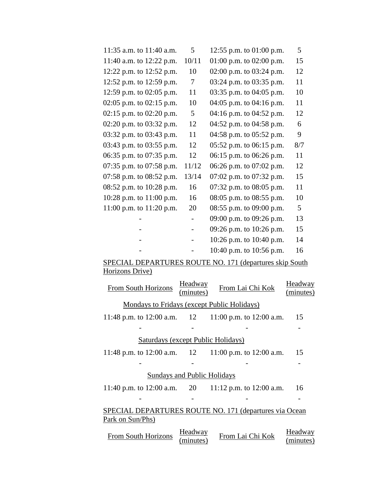| 11:35 a.m. to $11:40$ a.m. | $5^{\circ}$              | 12:55 p.m. to $01:00$ p.m. | 5   |
|----------------------------|--------------------------|----------------------------|-----|
| 11:40 a.m. to 12:22 p.m.   | 10/11                    | 01:00 p.m. to 02:00 p.m.   | 15  |
| 12:22 p.m. to 12:52 p.m.   | 10                       | 02:00 p.m. to $03:24$ p.m. | 12  |
| 12:52 p.m. to 12:59 p.m.   | $\tau$                   | 03:24 p.m. to 03:35 p.m.   | 11  |
| 12:59 p.m. to 02:05 p.m.   | 11                       | 03:35 p.m. to 04:05 p.m.   | 10  |
| 02:05 p.m. to 02:15 p.m.   | 10                       | 04:05 p.m. to 04:16 p.m.   | 11  |
| 02:15 p.m. to 02:20 p.m.   | 5                        | 04:16 p.m. to 04:52 p.m.   | 12  |
| 02:20 p.m. to 03:32 p.m.   | 12                       | 04:52 p.m. to 04:58 p.m.   | 6   |
| 03:32 p.m. to 03:43 p.m.   | 11                       | 04:58 p.m. to 05:52 p.m.   | 9   |
| 03:43 p.m. to 03:55 p.m.   | 12                       | 05:52 p.m. to 06:15 p.m.   | 8/7 |
| 06:35 p.m. to 07:35 p.m.   | 12                       | 06:15 p.m. to 06:26 p.m.   | 11  |
| 07:35 p.m. to 07:58 p.m.   | 11/12                    | 06:26 p.m. to 07:02 p.m.   | 12  |
| 07:58 p.m. to 08:52 p.m.   | 13/14                    | 07:02 p.m. to 07:32 p.m.   | 15  |
| 08:52 p.m. to 10:28 p.m.   | 16                       | 07:32 p.m. to 08:05 p.m.   | 11  |
| 10:28 p.m. to 11:00 p.m.   | 16                       | 08:05 p.m. to 08:55 p.m.   | 10  |
| 11:00 p.m. to 11:20 p.m.   | 20                       | 08:55 p.m. to 09:00 p.m.   | 5   |
|                            | $\overline{\phantom{0}}$ | 09:00 p.m. to 09:26 p.m.   | 13  |
|                            | $\overline{\phantom{0}}$ | 09:26 p.m. to 10:26 p.m.   | 15  |
|                            |                          | 10:26 p.m. to 10:40 p.m.   | 14  |
|                            |                          | 10:40 p.m. to 10:56 p.m.   | 16  |

# SPECIAL DEPARTURES ROUTE NO. 171 (departures skip South Horizons Drive)

| <b>From South Horizons</b>                             | Headway<br>(minutes) | From Lai Chi Kok                                          | Headway<br>(minutes) |
|--------------------------------------------------------|----------------------|-----------------------------------------------------------|----------------------|
| Mondays to Fridays (except Public Holidays)            |                      |                                                           |                      |
|                                                        |                      | 11:48 p.m. to 12:00 a.m. $12 \t 11:00$ p.m. to 12:00 a.m. | 15                   |
|                                                        |                      |                                                           |                      |
| <b>Saturdays (except Public Holidays)</b>              |                      |                                                           |                      |
|                                                        |                      | 11:48 p.m. to 12:00 a.m. $12 \t 11:00$ p.m. to 12:00 a.m. | 15                   |
|                                                        |                      |                                                           |                      |
| <b>Sundays and Public Holidays</b>                     |                      |                                                           |                      |
|                                                        |                      | 11:40 p.m. to 12:00 a.m. 20 11:12 p.m. to 12:00 a.m.      | 16                   |
|                                                        |                      |                                                           |                      |
| SPECIAL DEPARTURES ROUTE NO. 171 (departures via Ocean |                      |                                                           |                      |
| Park on Sun/Phs)                                       |                      |                                                           |                      |
| <b>From South Horizons</b>                             | Headway<br>(minutes) | From Lai Chi Kok                                          | Headway<br>(minutes) |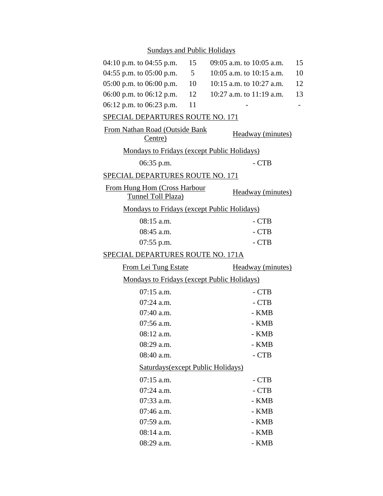# Sundays and Public Holidays

| 04:10 p.m. to 04:55 p.m.                           | 15             | 09:05 a.m. to 10:05 a.m. | 15 |
|----------------------------------------------------|----------------|--------------------------|----|
| 04:55 p.m. to 05:00 p.m.                           | 5 <sup>5</sup> | 10:05 a.m. to 10:15 a.m. | 10 |
| $05:00$ p.m. to $06:00$ p.m.                       | 10             | 10:15 a.m. to 10:27 a.m. | 12 |
| 06:00 p.m. to 06:12 p.m.                           | 12             | 10:27 a.m. to 11:19 a.m. | 13 |
| 06:12 p.m. to 06:23 p.m.                           | 11             |                          |    |
| SPECIAL DEPARTURES ROUTE NO. 171                   |                |                          |    |
| From Nathan Road (Outside Bank<br>Centre)          |                | Headway (minutes)        |    |
| <b>Mondays to Fridays (except Public Holidays)</b> |                |                          |    |
| $06:35$ p.m.                                       |                | $-CTB$                   |    |
| SPECIAL DEPARTURES ROUTE NO. 171                   |                |                          |    |
| From Hung Hom (Cross Harbour<br>Tunnel Toll Plaza) |                | <b>Headway</b> (minutes) |    |
| Mondays to Fridays (except Public Holidays)        |                |                          |    |
| $08:15$ a.m.                                       |                | - CTB                    |    |
| 08:45 a.m.                                         |                | $-CTB$                   |    |
| $07:55$ p.m.                                       |                | - CTB                    |    |
| SPECIAL DEPARTURES ROUTE NO. 171A                  |                |                          |    |
| <b>From Lei Tung Estate</b>                        |                | Headway (minutes)        |    |
| <b>Mondays to Fridays (except Public Holidays)</b> |                |                          |    |
| $07:15$ a.m.                                       |                | $-CTB$                   |    |
| $07:24$ a.m.                                       |                | - CTB                    |    |
| 07:40 a.m.                                         |                | - KMB                    |    |
| $07:56$ a.m.                                       |                | - KMB                    |    |
| $08:12$ a.m.                                       |                | - KMB                    |    |
| 08:29 a.m.                                         |                | - KMB                    |    |
| 08:40 a.m.                                         |                | - CTB                    |    |
| Saturdays (except Public Holidays)                 |                |                          |    |
| $07:15$ a.m.                                       |                | - CTB                    |    |
| $07:24$ a.m.                                       |                | - CTB                    |    |
| 07:33 a.m.                                         |                | - KMB                    |    |
| 07:46 a.m.                                         |                | - KMB                    |    |
| 07:59 a.m.                                         |                | - KMB                    |    |
| 08:14 a.m.                                         |                | - KMB                    |    |
| 08:29 a.m.                                         |                | - KMB                    |    |